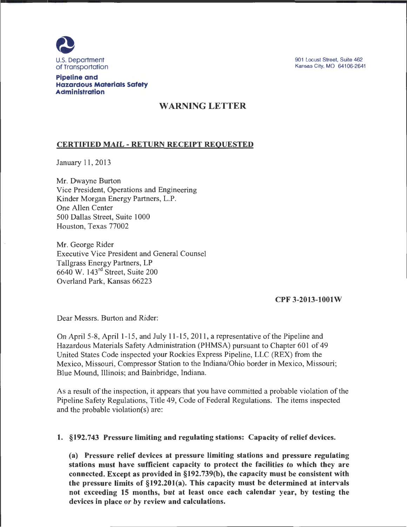

901 Locust Street, Suite 462 Kansas City, MO 64106-2641

## Pipeline and Hazardous Materials Safety Administration

## WARNING LETTER

## CERTIFIED MAIL- RETURN RECEIPT REQUESTED

January 11, 2013

Mr. Dwayne Burton Vice President, Operations and Engineering Kinder Morgan Energy Partners, L.P. One Allen Center 500 Dallas Street, Suite 1000 Houston, Texas 77002

Mr. George Rider Executive Vice President and General Counsel Tallgrass Energy Partners, LP 6640 W. 143rd Street, Suite 200 Overland Park, Kansas 66223

## CPF 3-2013-1001W

Dear Messrs. Burton and Rider:

On April 5-8, April 1-15, and July 11-15, 2011, a representative of the Pipeline and Hazardous Materials Safety Administration (PHMSA) pursuant to Chapter 601 of 49 United States Code inspected your Rockies Express Pipeline, LLC (REX) from the Mexico, Missouri, Compressor Station to the Indiana/Ohio border in Mexico, Missouri; Blue Mound, Illinois; and Bainbridge, Indiana.

As a result of the inspection, it appears that you have committed a probable violation of the Pipeline Safety Regulations, Title 49, Code of Federal Regulations. The items inspected and the probable violation(s) are:

1. §192.743 Pressure limiting and regulating stations: Capacity of relief devices.

(a) Pressure relief devices at pressure limiting stations and pressure regulating stations must have sufficient capacity to protect the facilities to which they are connected. Except as provided in §192.739(b), the capacity must be consistent with the pressure limits of §192.201(a). This capacity must be determined at intervals not exceeding 15 months, but at least once each calendar year, by testing the devices in place or by review and calculations.